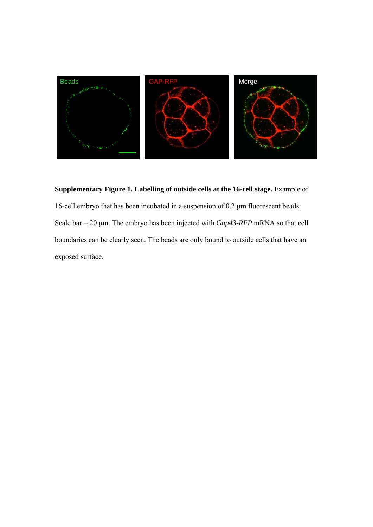

## **Supplementary Figure 1. Labelling of outside cells at the 16-cell stage.** Example of

16-cell embryo that has been incubated in a suspension of 0.2 μm fluorescent beads. Scale bar = 20 μm. The embryo has been injected with *Gap43-RFP* mRNA so that cell boundaries can be clearly seen. The beads are only bound to outside cells that have an exposed surface.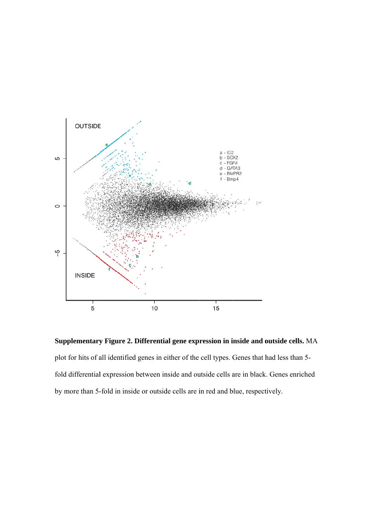

**Supplementary Figure 2. Differential gene expression in inside and outside cells. MA** plot for hits of all identified genes in either of the cell types. Genes that had less than 5fold differential expression between inside and outside cells are in black. Genes enriched by more than 5-fold in inside or outside cells are in red and blue, respectively.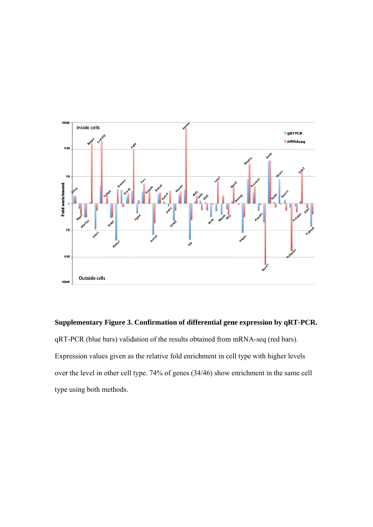

**Supplementary Figure 3. Confirmation of differential gene expression by qRT-PCR.** qRT-PCR (blue bars) validation of the results obtained from mRNA-seq (red bars). Expression values given as the relative fold enrichment in cell type with higher levels over the level in other cell type. 74% of genes (34/46) show enrichment in the same cell type using both methods.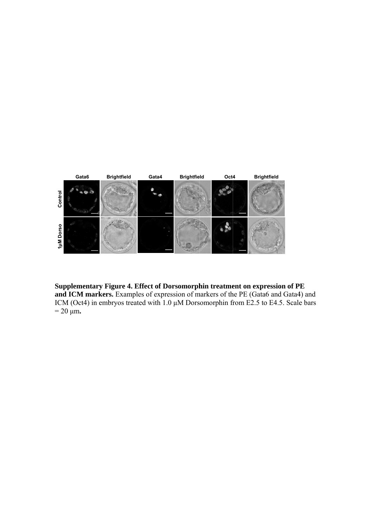

Supplementary Figure 4. Effect of Dorsomorphin treatment on expression of PE and ICM markers. Examples of expression of markers of the PE (Gata6 and Gata4) and ICM (Oct4) in embryos treated with  $1.0 \mu$ M Dorsomorphin from E2.5 to E4.5. Scale bars  $= 20 \mu m.$